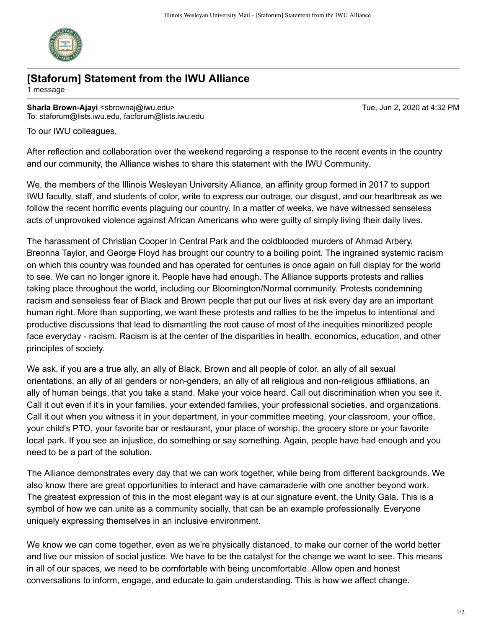

## **[Staforum] Statement from the IWU Alliance**

1 message

**Sharla Brown-Ajayi** <sbrownaj@iwu.edu> Tue, Jun 2, 2020 at 4:32 PM To: staforum@lists.iwu.edu, facforum@lists.iwu.edu

To our IWU colleagues,

After reflection and collaboration over the weekend regarding a response to the recent events in the country and our community, the Alliance wishes to share this statement with the IWU Community.

We, the members of the Illinois Wesleyan University Alliance, an affinity group formed in 2017 to support IWU faculty, staff, and students of color, write to express our outrage, our disgust, and our heartbreak as we follow the recent horrific events plaguing our country. In a matter of weeks, we have witnessed senseless acts of unprovoked violence against African Americans who were guilty of simply living their daily lives.

The harassment of Christian Cooper in Central Park and the coldblooded murders of Ahmad Arbery, Breonna Taylor, and George Floyd has brought our country to a boiling point. The ingrained systemic racism on which this country was founded and has operated for centuries is once again on full display for the world to see. We can no longer ignore it. People have had enough. The Alliance supports protests and rallies taking place throughout the world, including our Bloomington/Normal community. Protests condemning racism and senseless fear of Black and Brown people that put our lives at risk every day are an important human right. More than supporting, we want these protests and rallies to be the impetus to intentional and productive discussions that lead to dismantling the root cause of most of the inequities minoritized people face everyday - racism. Racism is at the center of the disparities in health, economics, education, and other principles of society.

We ask, if you are a true ally, an ally of Black, Brown and all people of color, an ally of all sexual orientations, an ally of all genders or non-genders, an ally of all religious and non-religious affiliations, an ally of human beings, that you take a stand. Make your voice heard. Call out discrimination when you see it. Call it out even if it's in your families, your extended families, your professional societies, and organizations. Call it out when you witness it in your department, in your committee meeting, your classroom, your office, your child's PTO, your favorite bar or restaurant, your place of worship, the grocery store or your favorite local park. If you see an injustice, do something or say something. Again, people have had enough and you need to be a part of the solution.

The Alliance demonstrates every day that we can work together, while being from different backgrounds. We also know there are great opportunities to interact and have camaraderie with one another beyond work. The greatest expression of this in the most elegant way is at our signature event, the Unity Gala. This is a symbol of how we can unite as a community socially, that can be an example professionally. Everyone uniquely expressing themselves in an inclusive environment.

We know we can come together, even as we're physically distanced, to make our corner of the world better and live our mission of social justice. We have to be the catalyst for the change we want to see. This means in all of our spaces, we need to be comfortable with being uncomfortable. Allow open and honest conversations to inform, engage, and educate to gain understanding. This is how we affect change.